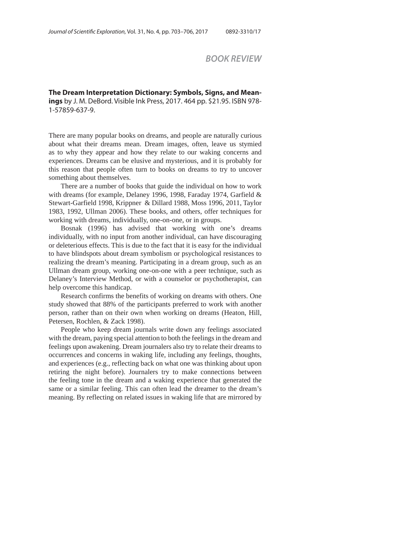## *BOOK REVIEW*

**The Dream Interpretation Dictionary: Symbols, Signs, and Meanings** by J. M. DeBord. Visible Ink Press, 2017. 464 pp. \$21.95. ISBN 978- 1-57859-637-9.

There are many popular books on dreams, and people are naturally curious about what their dreams mean. Dream images, often, leave us stymied as to why they appear and how they relate to our waking concerns and experiences. Dreams can be elusive and mysterious, and it is probably for this reason that people often turn to books on dreams to try to uncover something about themselves.

There are a number of books that guide the individual on how to work with dreams (for example, Delaney 1996, 1998, Faraday 1974, Garfield & Stewart-Garfield 1998, Krippner & Dillard 1988, Moss 1996, 2011, Taylor 1983, 1992, Ullman 2006). These books, and others, offer techniques for working with dreams, individually, one-on-one, or in groups.

Bosnak (1996) has advised that working with one's dreams individually, with no input from another individual, can have discouraging or deleterious effects. This is due to the fact that it is easy for the individual to have blindspots about dream symbolism or psychological resistances to realizing the dream's meaning. Participating in a dream group, such as an Ullman dream group, working one-on-one with a peer technique, such as Delaney's Interview Method, or with a counselor or psychotherapist, can help overcome this handicap.

Research confirms the benefits of working on dreams with others. One study showed that 88% of the participants preferred to work with another person, rather than on their own when working on dreams (Heaton, Hill, Petersen, Rochlen, & Zack 1998).

People who keep dream journals write down any feelings associated with the dream, paying special attention to both the feelings in the dream and feelings upon awakening. Dream journalers also try to relate their dreams to occurrences and concerns in waking life, including any feelings, thoughts, and experiences (e.g., reflecting back on what one was thinking about upon retiring the night before). Journalers try to make connections between the feeling tone in the dream and a waking experience that generated the same or a similar feeling. This can often lead the dreamer to the dream's meaning. By reflecting on related issues in waking life that are mirrored by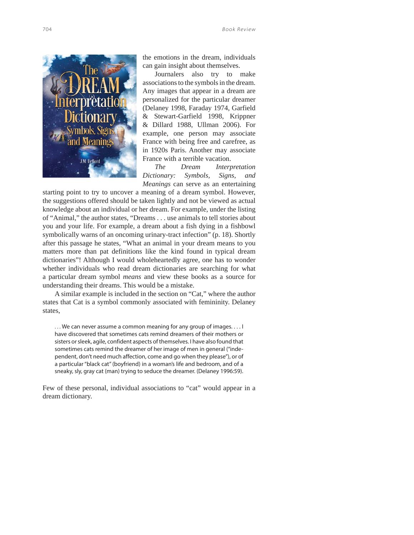

the emotions in the dream, individuals can gain insight about themselves.

Journalers also try to make associations to the symbols in the dream. Any images that appear in a dream are personalized for the particular dreamer (Delaney 1998, Faraday 1974, Garfield & Stewart-Garfield 1998, Krippner & Dillard 1988, Ullman 2006). For example, one person may associate France with being free and carefree, as in 1920s Paris. Another may associate France with a terrible vacation.

*The Dream Interpretation Dictionary: Symbols, Signs, and Meanings* can serve as an entertaining

starting point to try to uncover a meaning of a dream symbol. However, the suggestions offered should be taken lightly and not be viewed as actual knowledge about an individual or her dream. For example, under the listing of "Animal," the author states, "Dreams . . . use animals to tell stories about you and your life. For example, a dream about a fish dying in a fishbowl symbolically warns of an oncoming urinary-tract infection" (p. 18). Shortly after this passage he states, "What an animal in your dream means to you matters more than pat definitions like the kind found in typical dream dictionaries"! Although I would wholeheartedly agree, one has to wonder whether individuals who read dream dictionaries are searching for what a particular dream symbol *means* and view these books as a source for understanding their dreams. This would be a mistake.

A similar example is included in the section on "Cat," where the author states that Cat is a symbol commonly associated with femininity. Delaney states,

... We can never assume a common meaning for any group of images.... I have discovered that sometimes cats remind dreamers of their mothers or sisters or sleek, agile, confident aspects of themselves. I have also found that sometimes cats remind the dreamer of her image of men in general ("independent, don't need much affection, come and go when they please"), or of a particular "black cat" (boyfriend) in a woman's life and bedroom, and of a sneaky, sly, gray cat (man) trying to seduce the dreamer. (Delaney 1996:59).

Few of these personal, individual associations to "cat" would appear in a dream dictionary.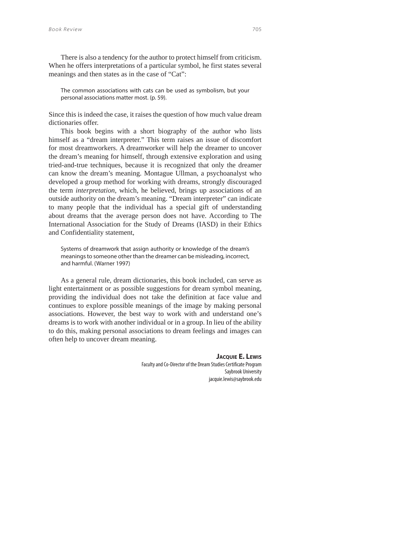There is also a tendency for the author to protect himself from criticism. When he offers interpretations of a particular symbol, he first states several meanings and then states as in the case of "Cat":

The common associations with cats can be used as symbolism, but your personal associations matter most. (p. 59).

Since this is indeed the case, it raises the question of how much value dream dictionaries offer.

This book begins with a short biography of the author who lists himself as a "dream interpreter." This term raises an issue of discomfort for most dreamworkers. A dreamworker will help the dreamer to uncover the dream's meaning for himself, through extensive exploration and using tried-and-true techniques, because it is recognized that only the dreamer can know the dream's meaning. Montague Ullman, a psychoanalyst who developed a group method for working with dreams, strongly discouraged the term *interpretation*, which, he believed, brings up associations of an outside authority on the dream's meaning. "Dream interpreter" can indicate to many people that the individual has a special gift of understanding about dreams that the average person does not have. According to The International Association for the Study of Dreams (IASD) in their Ethics and Confidentiality statement,

Systems of dreamwork that assign authority or knowledge of the dream's meanings to someone other than the dreamer can be misleading, incorrect, and harmful. (Warner 1997)

As a general rule, dream dictionaries, this book included, can serve as light entertainment or as possible suggestions for dream symbol meaning, providing the individual does not take the definition at face value and continues to explore possible meanings of the image by making personal associations. However, the best way to work with and understand one's dreams is to work with another individual or in a group. In lieu of the ability to do this, making personal associations to dream feelings and images can often help to uncover dream meaning.

## **JACQUIE E. LEWIS**

Faculty and Co-Director of the Dream Studies Certificate Program Saybrook University jacquie.lewis@saybrook.edu